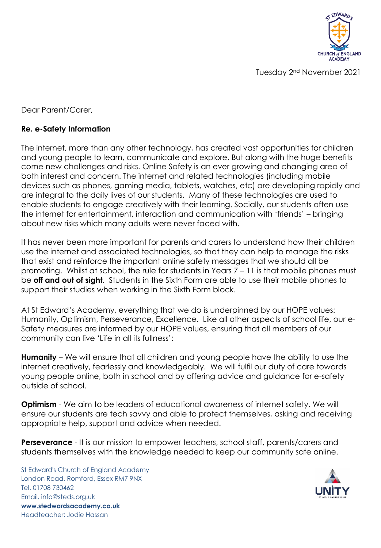

Tuesday 2nd November 2021

Dear Parent/Carer,

## **Re. e-Safety Information**

The internet, more than any other technology, has created vast opportunities for children and young people to learn, communicate and explore. But along with the huge benefits come new challenges and risks. Online Safety is an ever growing and changing area of both interest and concern. The internet and related technologies (including mobile devices such as phones, gaming media, tablets, watches, etc) are developing rapidly and are integral to the daily lives of our students. Many of these technologies are used to enable students to engage creatively with their learning. Socially, our students often use the internet for entertainment, interaction and communication with 'friends' – bringing about new risks which many adults were never faced with.

It has never been more important for parents and carers to understand how their children use the internet and associated technologies, so that they can help to manage the risks that exist and reinforce the important online safety messages that we should all be promoting. Whilst at school, the rule for students in Years 7 – 11 is that mobile phones must be **off and out of sight**. Students in the Sixth Form are able to use their mobile phones to support their studies when working in the Sixth Form block.

At St Edward's Academy, everything that we do is underpinned by our HOPE values: Humanity, Optimism, Perseverance, Excellence. Like all other aspects of school life, our e-Safety measures are informed by our HOPE values, ensuring that all members of our community can live 'Life in all its fullness':

**Humanity** – We will ensure that all children and young people have the ability to use the internet creatively, fearlessly and knowledgeably. We will fulfil our duty of care towards young people online, both in school and by offering advice and guidance for e-safety outside of school.

**Optimism** - We aim to be leaders of educational awareness of internet safety. We will ensure our students are tech savvy and able to protect themselves, asking and receiving appropriate help, support and advice when needed.

**Perseverance** - It is our mission to empower teachers, school staff, parents/carers and students themselves with the knowledge needed to keep our community safe online.

St Edward's Church of England Academy London Road, Romford, Essex RM7 9NX Tel. 01708 730462 Email. [info@steds.org.uk](mailto:info@steds.org.uk) **www.stedwardsacademy.co.uk** Headteacher: Jodie Hassan

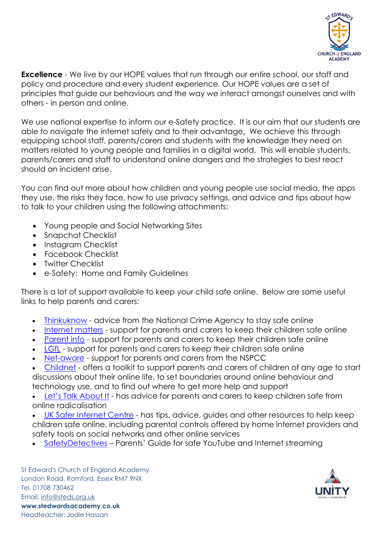

**Excellence** - We live by our HOPE values that run through our entire school, our staff and policy and procedure and every student experience. Our HOPE values are a set of principles that guide our behaviours and the way we interact amongst ourselves and with others - in person and online.

We use national expertise to inform our e-Safety practice. It is our aim that our students are able to navigate the internet safely and to their advantage. We achieve this through equipping school staff, parents/carers and students with the knowledge they need on matters related to young people and families in a digital world. This will enable students, parents/carers and staff to understand online dangers and the strategies to best react should an incident arise.

You can find out more about how children and young people use social media, the apps they use, the risks they face, how to use privacy settings, and advice and tips about how to talk to your children using the following attachments:

- Young people and Social Networking Sites
- Snapchat Checklist
- Instagram Checklist
- Facebook Checklist
- Twitter Checklist
- e-Safety: Home and Family Guidelines

There is a lot of support available to keep your child safe online. Below are some useful links to help parents and carers:

- [Thinkuknow](https://www.thinkuknow.co.uk/) advice from the National Crime Agency to stay safe online
- [Internet](https://www.internetmatters.org/?gclid=EAIaIQobChMIktuA5LWK2wIVRYXVCh2afg2aEAAYASAAEgIJ5vD_BwE) matters support for parents and carers to keep their children safe online
- [Parent](https://parentinfo.org/) info support for parents and carers to keep their children safe online
- [LGfL](https://www.lgfl.net/online-safety/default.aspx) support for parents and carers to keep their children safe online
- [Net-aware](https://www.net-aware.org.uk/) support for parents and carers from the NSPCC
- [Childnet](https://www.childnet.com/parents-and-carers/parent-and-carer-toolkit) offers a toolkit to support parents and carers of children of any age to start discussions about their online life, to set boundaries around online behaviour and technology use, and to find out where to get more help and support
- Let's Talk [About](https://www.ltai.info/staying-safe-online/) It has advice for parents and carers to keep children safe from online radicalisation
- UK Safer [Internet](https://www.saferinternet.org.uk/advice-centre/parents-and-carers) Centre has tips, advice, guides and other resources to help keep children safe online, including parental controls offered by home internet providers and safety tools on social networks and other online services
- [SafetyDetectives](https://www.safetydetectives.com/blog/parents-guide-for-safe-youtube-and-internet-streaming-for-kids/) Parents' Guide for safe YouTube and Internet streaming

St Edward's Church of England Academy London Road, Romford, Essex RM7 9NX Tel. 01708 730462 Email. [info@steds.org.uk](mailto:info@steds.org.uk) **www.stedwardsacademy.co.uk** Headteacher: Jodie Hassan